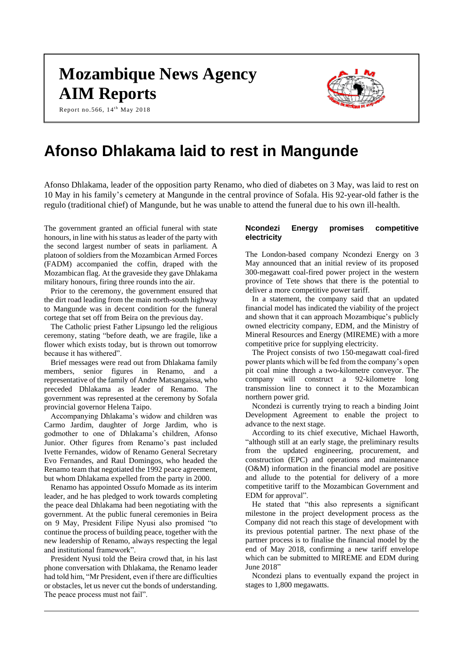# **Mozambique News Agency AIM Reports**

Report no.566,  $14^{th}$  May 2018



## **Afonso Dhlakama laid to rest in Mangunde**

Afonso Dhlakama, leader of the opposition party Renamo, who died of diabetes on 3 May, was laid to rest on 10 May in his family's cemetery at Mangunde in the central province of Sofala. His 92-year-old father is the regulo (traditional chief) of Mangunde, but he was unable to attend the funeral due to his own ill-health.

The government granted an official funeral with state honours, in line with his status as leader of the party with the second largest number of seats in parliament. A platoon of soldiers from the Mozambican Armed Forces (FADM) accompanied the coffin, draped with the Mozambican flag. At the graveside they gave Dhlakama military honours, firing three rounds into the air.

Prior to the ceremony, the government ensured that the dirt road leading from the main north-south highway to Mangunde was in decent condition for the funeral cortege that set off from Beira on the previous day.

The Catholic priest Father Lipsungo led the religious ceremony, stating "before death, we are fragile, like a flower which exists today, but is thrown out tomorrow because it has withered".

Brief messages were read out from Dhlakama family members, senior figures in Renamo, and a representative of the family of Andre Matsangaissa, who preceded Dhlakama as leader of Renamo. The government was represented at the ceremony by Sofala provincial governor Helena Taipo.

Accompanying Dhlakama's widow and children was Carmo Jardim, daughter of Jorge Jardim, who is godmother to one of Dhlakama's children, Afonso Junior. Other figures from Renamo's past included Ivette Fernandes, widow of Renamo General Secretary Evo Fernandes, and Raul Domingos, who headed the Renamo team that negotiated the 1992 peace agreement, but whom Dhlakama expelled from the party in 2000.

Renamo has appointed Ossufo Momade as its interim leader, and he has pledged to work towards completing the peace deal Dhlakama had been negotiating with the government. At the public funeral ceremonies in Beira on 9 May, President Filipe Nyusi also promised "to continue the process of building peace, together with the new leadership of Renamo, always respecting the legal and institutional framework".

President Nyusi told the Beira crowd that, in his last phone conversation with Dhlakama, the Renamo leader had told him, "Mr President, even if there are difficulties or obstacles, let us never cut the bonds of understanding. The peace process must not fail".

## **Ncondezi Energy promises competitive electricity**

The London-based company Ncondezi Energy on 3 May announced that an initial review of its proposed 300-megawatt coal-fired power project in the western province of Tete shows that there is the potential to deliver a more competitive power tariff.

In a statement, the company said that an updated financial model has indicated the viability of the project and shown that it can approach Mozambique's publicly owned electricity company, EDM, and the Ministry of Mineral Resources and Energy (MIREME) with a more competitive price for supplying electricity.

The Project consists of two 150-megawatt coal-fired power plants which will be fed from the company's open pit coal mine through a two-kilometre conveyor. The company will construct a 92-kilometre long transmission line to connect it to the Mozambican northern power grid.

Ncondezi is currently trying to reach a binding Joint Development Agreement to enable the project to advance to the next stage.

According to its chief executive, Michael Haworth, "although still at an early stage, the preliminary results from the updated engineering, procurement, and construction (EPC) and operations and maintenance (O&M) information in the financial model are positive and allude to the potential for delivery of a more competitive tariff to the Mozambican Government and EDM for approval".

He stated that "this also represents a significant milestone in the project development process as the Company did not reach this stage of development with its previous potential partner. The next phase of the partner process is to finalise the financial model by the end of May 2018, confirming a new tariff envelope which can be submitted to MIREME and EDM during June 2018"

Ncondezi plans to eventually expand the project in stages to 1,800 megawatts.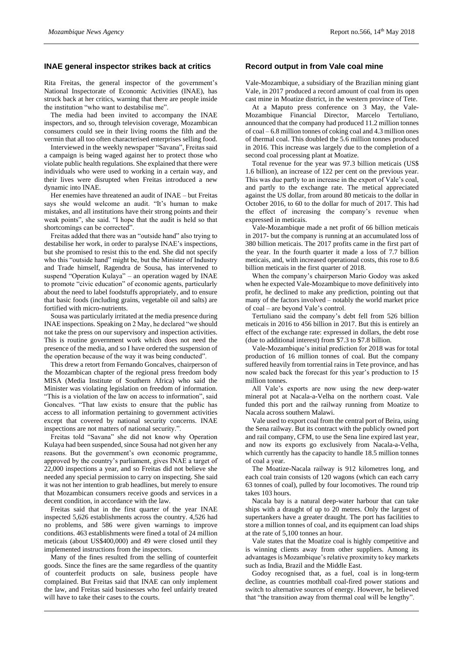#### **INAE general inspector strikes back at critics**

Rita Freitas, the general inspector of the government's National Inspectorate of Economic Activities (INAE), has struck back at her critics, warning that there are people inside the institution "who want to destabilise me".

The media had been invited to accompany the INAE inspectors, and so, through television coverage, Mozambican consumers could see in their living rooms the filth and the vermin that all too often characterised enterprises selling food.

Interviewed in the weekly newspaper "Savana", Freitas said a campaign is being waged against her to protect those who violate public health regulations. She explained that there were individuals who were used to working in a certain way, and their lives were disrupted when Freitas introduced a new dynamic into INAE.

Her enemies have threatened an audit of INAE – but Freitas says she would welcome an audit. "It's human to make mistakes, and all institutions have their strong points and their weak points", she said. "I hope that the audit is held so that shortcomings can be corrected".

Freitas added that there was an "outside hand" also trying to destabilise her work, in order to paralyse INAE's inspections, but she promised to resist this to the end. She did not specify who this "outside hand" might be, but the Minister of Industry and Trade himself, Ragendra de Sousa, has intervened to suspend "Operation Kulaya" – an operation waged by INAE to promote "civic education" of economic agents, particularly about the need to label foodstuffs appropriately, and to ensure that basic foods (including grains, vegetable oil and salts) are fortified with micro-nutrients.

Sousa was particularly irritated at the media presence during INAE inspections. Speaking on 2 May, he declared "we should not take the press on our supervisory and inspection activities. This is routine government work which does not need the presence of the media, and so I have ordered the suspension of the operation because of the way it was being conducted".

This drew a retort from Fernando Goncalves, chairperson of the Mozambican chapter of the regional press freedom body MISA (Media Institute of Southern Africa) who said the Minister was violating legislation on freedom of information. "This is a violation of the law on access to information", said Goncalves. "That law exists to ensure that the public has access to all information pertaining to government activities except that covered by national security concerns. INAE inspections are not matters of national security.".

Freitas told "Savana" she did not know why Operation Kulaya had been suspended, since Sousa had not given her any reasons. But the government's own economic programme, approved by the country's parliament, gives INAE a target of 22,000 inspections a year, and so Freitas did not believe she needed any special permission to carry on inspecting. She said it was not her intention to grab headlines, but merely to ensure that Mozambican consumers receive goods and services in a decent condition, in accordance with the law.

Freitas said that in the first quarter of the year INAE inspected 5,626 establishments across the country. 4,526 had no problems, and 586 were given warnings to improve conditions. 463 establishments were fined a total of 24 million meticais (about US\$400,000) and 49 were closed until they implemented instructions from the inspectors.

Many of the fines resulted from the selling of counterfeit goods. Since the fines are the same regardless of the quantity of counterfeit products on sale, business people have complained. But Freitas said that INAE can only implement the law, and Freitas said businesses who feel unfairly treated will have to take their cases to the courts.

#### **Record output in from Vale coal mine**

Vale-Mozambique, a subsidiary of the Brazilian mining giant Vale, in 2017 produced a record amount of coal from its open cast mine in Moatize district, in the western province of Tete.

At a Maputo press conference on 3 May, the Vale-Mozambique Financial Director, Marcelo Tertuliano, announced that the company had produced 11.2 million tonnes of coal – 6.8 million tonnes of coking coal and 4.3 million ones of thermal coal. This doubled the 5.6 million tonnes produced in 2016. This increase was largely due to the completion of a second coal processing plant at Moatize.

Total revenue for the year was 97.3 billion meticais (US\$ 1.6 billion), an increase of 122 per cent on the previous year. This was due partly to an increase in the export of Vale's coal, and partly to the exchange rate. The metical appreciated against the US dollar, from around 80 meticais to the dollar in October 2016, to 60 to the dollar for much of 2017. This had the effect of increasing the company's revenue when expressed in meticais.

Vale-Mozambique made a net profit of 66 billion meticais in 2017- but the company is running at an accumulated loss of 380 billion meticais. The 2017 profits came in the first part of the year. In the fourth quarter it made a loss of 7.7 billion meticais, and, with increased operational costs, this rose to 8.6 billion meticais in the first quarter of 2018.

When the company's chairperson Mario Godoy was asked when he expected Vale-Mozambique to move definitively into profit, he declined to make any prediction, pointing out that many of the factors involved – notably the world market price of coal – are beyond Vale's control.

Tertuliano said the company's debt fell from 526 billion meticais in 2016 to 456 billion in 2017. But this is entirely an effect of the exchange rate: expressed in dollars, the debt rose (due to additional interest) from \$7.3 to \$7.8 billion.

Vale-Mozambique's initial prediction for 2018 was for total production of 16 million tonnes of coal. But the company suffered heavily from torrential rains in Tete province, and has now scaled back the forecast for this year's production to 15 million tonnes.

All Vale's exports are now using the new deep-water mineral pot at Nacala-a-Velha on the northern coast. Vale funded this port and the railway running from Moatize to Nacala across southern Malawi.

Vale used to export coal from the central port of Beira, using the Sena railway. But its contract with the publicly owned port and rail company, CFM, to use the Sena line expired last year, and now its exports go exclusively from Nacala-a-Velha, which currently has the capacity to handle 18.5 million tonnes of coal a year.

The Moatize-Nacala railway is 912 kilometres long, and each coal train consists of 120 wagons (which can each carry 63 tonnes of coal), pulled by four locomotives. The round trip takes 103 hours.

Nacala bay is a natural deep-water harbour that can take ships with a draught of up to 20 metres. Only the largest of supertankers have a greater draught. The port has facilities to store a million tonnes of coal, and its equipment can load ships at the rate of 5,100 tonnes an hour.

Vale states that the Moatize coal is highly competitive and is winning clients away from other suppliers. Among its advantages is Mozambique's relative proximity to key markets such as India, Brazil and the Middle East.

Godoy recognised that, as a fuel, coal is in long-term decline, as countries mothball coal-fired power stations and switch to alternative sources of energy. However, he believed that "the transition away from thermal coal will be lengthy".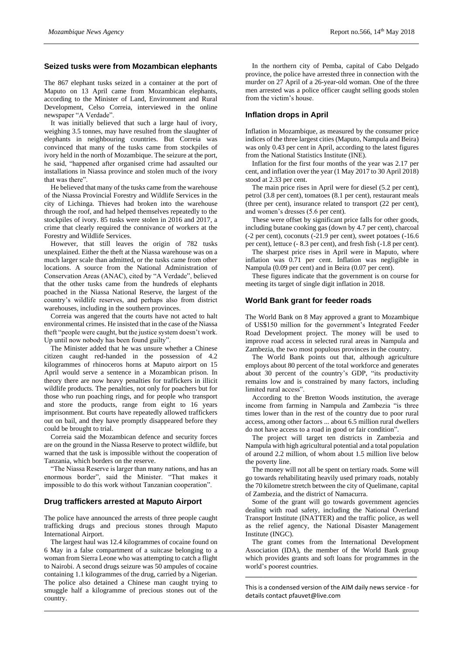#### **Seized tusks were from Mozambican elephants**

The 867 elephant tusks seized in a container at the port of Maputo on 13 April came from Mozambican elephants, according to the Minister of Land, Environment and Rural Development, Celso Correia, interviewed in the online newspaper "A Verdade".

It was initially believed that such a large haul of ivory, weighing 3.5 tonnes, may have resulted from the slaughter of elephants in neighbouring countries. But Correia was convinced that many of the tusks came from stockpiles of ivory held in the north of Mozambique. The seizure at the port, he said, "happened after organised crime had assaulted our installations in Niassa province and stolen much of the ivory that was there".

He believed that many of the tusks came from the warehouse of the Niassa Provincial Forestry and Wildlife Services in the city of Lichinga. Thieves had broken into the warehouse through the roof, and had helped themselves repeatedly to the stockpiles of ivory. 85 tusks were stolen in 2016 and 2017, a crime that clearly required the connivance of workers at the Forestry and Wildlife Services.

However, that still leaves the origin of 782 tusks unexplained. Either the theft at the Niassa warehouse was on a much larger scale than admitted, or the tusks came from other locations. A source from the National Administration of Conservation Areas (ANAC), cited by "A Verdade", believed that the other tusks came from the hundreds of elephants poached in the Niassa National Reserve, the largest of the country's wildlife reserves, and perhaps also from district warehouses, including in the southern provinces.

Correia was angered that the courts have not acted to halt environmental crimes. He insisted that in the case of the Niassa theft "people were caught, but the justice system doesn't work. Up until now nobody has been found guilty".

The Minister added that he was unsure whether a Chinese citizen caught red-handed in the possession of 4.2 kilogrammes of rhinoceros horns at Maputo airport on 15 April would serve a sentence in a Mozambican prison. In theory there are now heavy penalties for traffickers in illicit wildlife products. The penalties, not only for poachers but for those who run poaching rings, and for people who transport and store the products, range from eight to 16 years imprisonment. But courts have repeatedly allowed traffickers out on bail, and they have promptly disappeared before they could be brought to trial.

Correia said the Mozambican defence and security forces are on the ground in the Niassa Reserve to protect wildlife, but warned that the task is impossible without the cooperation of Tanzania, which borders on the reserve.

"The Niassa Reserve is larger than many nations, and has an enormous border", said the Minister. "That makes it impossible to do this work without Tanzanian cooperation".

#### **Drug traffickers arrested at Maputo Airport**

The police have announced the arrests of three people caught trafficking drugs and precious stones through Maputo International Airport.

The largest haul was 12.4 kilogrammes of cocaine found on 6 May in a false compartment of a suitcase belonging to a woman from Sierra Leone who was attempting to catch a flight to Nairobi. A second drugs seizure was 50 ampules of cocaine containing 1.1 kilogrammes of the drug, carried by a Nigerian. The police also detained a Chinese man caught trying to smuggle half a kilogramme of precious stones out of the country.

In the northern city of Pemba, capital of Cabo Delgado province, the police have arrested three in connection with the murder on 27 April of a 26-year-old woman. One of the three men arrested was a police officer caught selling goods stolen from the victim's house.

#### **Inflation drops in April**

Inflation in Mozambique, as measured by the consumer price indices of the three largest cities (Maputo, Nampula and Beira) was only 0.43 per cent in April, according to the latest figures from the National Statistics Institute (INE).

Inflation for the first four months of the year was 2.17 per cent, and inflation over the year (1 May 2017 to 30 April 2018) stood at 2.33 per cent.

The main price rises in April were for diesel (5.2 per cent), petrol (3.8 per cent), tomatoes (8.1 per cent), restaurant meals (three per cent), insurance related to transport (22 per cent), and women's dresses (5.6 per cent).

These were offset by significant price falls for other goods, including butane cooking gas (down by 4.7 per cent), charcoal (-2 per cent), coconuts (-21.9 per cent), sweet potatoes (-16.6 per cent), lettuce (- 8.3 per cent), and fresh fish (-1.8 per cent).

The sharpest price rises in April were in Maputo, where inflation was 0.71 per cent. Inflation was negligible in Nampula (0.09 per cent) and in Beira (0.07 per cent).

These figures indicate that the government is on course for meeting its target of single digit inflation in 2018.

#### **World Bank grant for feeder roads**

The World Bank on 8 May approved a grant to Mozambique of US\$150 million for the government's Integrated Feeder Road Development project. The money will be used to improve road access in selected rural areas in Nampula and Zambezia, the two most populous provinces in the country.

The World Bank points out that, although agriculture employs about 80 percent of the total workforce and generates about 30 percent of the country's GDP, "its productivity remains low and is constrained by many factors, including limited rural access".

According to the Bretton Woods institution, the average income from farming in Nampula and Zambezia "is three times lower than in the rest of the country due to poor rural access, among other factors ... about 6.5 million rural dwellers do not have access to a road in good or fair condition".

The project will target ten districts in Zambezia and Nampula with high agricultural potential and a total population of around 2.2 million, of whom about 1.5 million live below the poverty line.

The money will not all be spent on tertiary roads. Some will go towards rehabilitating heavily used primary roads, notably the 70 kilometre stretch between the city of Quelimane, capital of Zambezia, and the district of Namacurra.

Some of the grant will go towards government agencies dealing with road safety, including the National Overland Transport Institute (INATTER) and the traffic police, as well as the relief agency, the National Disaster Management Institute (INGC).

The grant comes from the International Development Association (IDA), the member of the World Bank group which provides grants and soft loans for programmes in the world's poorest countries.

This is a condensed version of the AIM daily news service - for details contac[t pfauvet@live.com](mailto:pfauvet@live.com)

**\_\_\_\_\_\_\_\_\_\_\_\_\_\_\_\_\_\_\_\_\_\_\_\_\_\_\_\_\_\_\_\_\_\_\_\_\_\_\_\_\_\_\_\_\_\_\_\_\_**